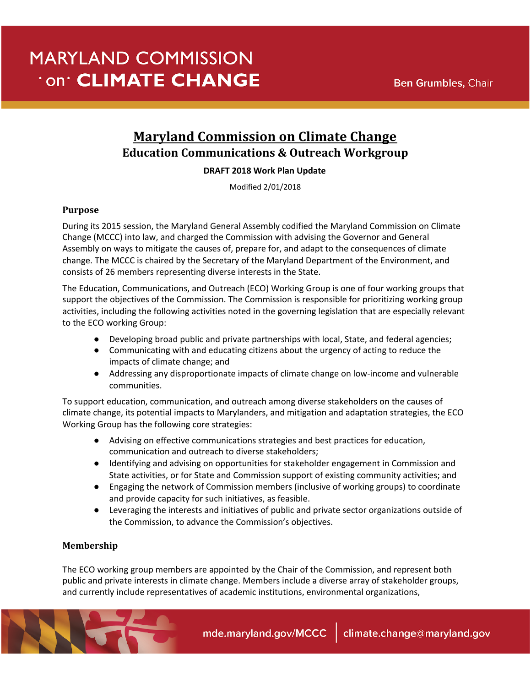# **MARYLAND COMMISSION On<sup>.</sup> CLIMATE CHANGE**

## **Maryland Commission on Climate Change Education Communications & Outreach Workgroup**

**DRAFT 2018 Work Plan Update**

Modified 2/01/2018

#### **Purpose**

During its 2015 session, the Maryland General Assembly codified the Maryland Commission on Climate Change (MCCC) into law, and charged the Commission with advising the Governor and General Assembly on ways to mitigate the causes of, prepare for, and adapt to the consequences of climate change. The MCCC is chaired by the Secretary of the Maryland Department of the Environment, and consists of 26 members representing diverse interests in the State.

The Education, Communications, and Outreach (ECO) Working Group is one of four working groups that support the objectives of the Commission. The Commission is responsible for prioritizing working group activities, including the following activities noted in the governing legislation that are especially relevant to the ECO working Group:

- Developing broad public and private partnerships with local, State, and federal agencies;
- Communicating with and educating citizens about the urgency of acting to reduce the impacts of climate change; and
- Addressing any disproportionate impacts of climate change on low-income and vulnerable communities.

To support education, communication, and outreach among diverse stakeholders on the causes of climate change, its potential impacts to Marylanders, and mitigation and adaptation strategies, the ECO Working Group has the following core strategies:

- Advising on effective communications strategies and best practices for education, communication and outreach to diverse stakeholders;
- Identifying and advising on opportunities for stakeholder engagement in Commission and State activities, or for State and Commission support of existing community activities; and
- Engaging the network of Commission members (inclusive of working groups) to coordinate and provide capacity for such initiatives, as feasible.
- Leveraging the interests and initiatives of public and private sector organizations outside of the Commission, to advance the Commission's objectives.

### **Membership**

The ECO working group members are appointed by the Chair of the Commission, and represent both public and private interests in climate change. Members include a diverse array of stakeholder groups, and currently include representatives of academic institutions, environmental organizations,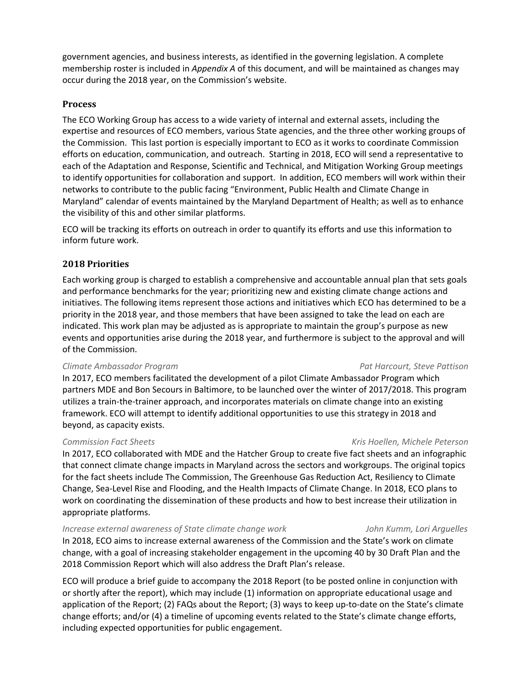government agencies, and business interests, as identified in the governing legislation. A complete membership roster is included in *Appendix A* of this document, and will be maintained as changes may occur during the 2018 year, on the Commission's website.

#### **Process**

The ECO Working Group has access to a wide variety of internal and external assets, including the expertise and resources of ECO members, various State agencies, and the three other working groups of the Commission. This last portion is especially important to ECO as it works to coordinate Commission efforts on education, communication, and outreach. Starting in 2018, ECO will send a representative to each of the Adaptation and Response, Scientific and Technical, and Mitigation Working Group meetings to identify opportunities for collaboration and support. In addition, ECO members will work within their networks to contribute to the public facing "Environment, Public Health and Climate Change in Maryland" calendar of events maintained by the Maryland Department of Health; as well as to enhance the visibility of this and other similar platforms.

ECO will be tracking its efforts on outreach in order to quantify its efforts and use this information to inform future work.

#### **2018 Priorities**

Each working group is charged to establish a comprehensive and accountable annual plan that sets goals and performance benchmarks for the year; prioritizing new and existing climate change actions and initiatives. The following items represent those actions and initiatives which ECO has determined to be a priority in the 2018 year, and those members that have been assigned to take the lead on each are indicated. This work plan may be adjusted as is appropriate to maintain the group's purpose as new events and opportunities arise during the 2018 year, and furthermore is subject to the approval and will of the Commission.

#### *Climate Ambassador Program Pat Harcourt, Steve Pattison*

In 2017, ECO members facilitated the development of a pilot Climate Ambassador Program which partners MDE and Bon Secours in Baltimore, to be launched over the winter of 2017/2018. This program utilizes a train-the-trainer approach, and incorporates materials on climate change into an existing framework. ECO will attempt to identify additional opportunities to use this strategy in 2018 and beyond, as capacity exists.

In 2017, ECO collaborated with MDE and the Hatcher Group to create five fact sheets and an infographic that connect climate change impacts in Maryland across the sectors and workgroups. The original topics for the fact sheets include The Commission, The Greenhouse Gas Reduction Act, Resiliency to Climate Change, Sea-Level Rise and Flooding, and the Health Impacts of Climate Change. In 2018, ECO plans to work on coordinating the dissemination of these products and how to best increase their utilization in appropriate platforms.

#### *Increase external awareness of State climate change work John Kumm, Lori Arguelles*

In 2018, ECO aims to increase external awareness of the Commission and the State's work on climate change, with a goal of increasing stakeholder engagement in the upcoming 40 by 30 Draft Plan and the 2018 Commission Report which will also address the Draft Plan's release.

ECO will produce a brief guide to accompany the 2018 Report (to be posted online in conjunction with or shortly after the report), which may include (1) information on appropriate educational usage and application of the Report; (2) FAQs about the Report; (3) ways to keep up-to-date on the State's climate change efforts; and/or (4) a timeline of upcoming events related to the State's climate change efforts, including expected opportunities for public engagement.

#### *Commission Fact Sheets Kris Hoellen, Michele Peterson*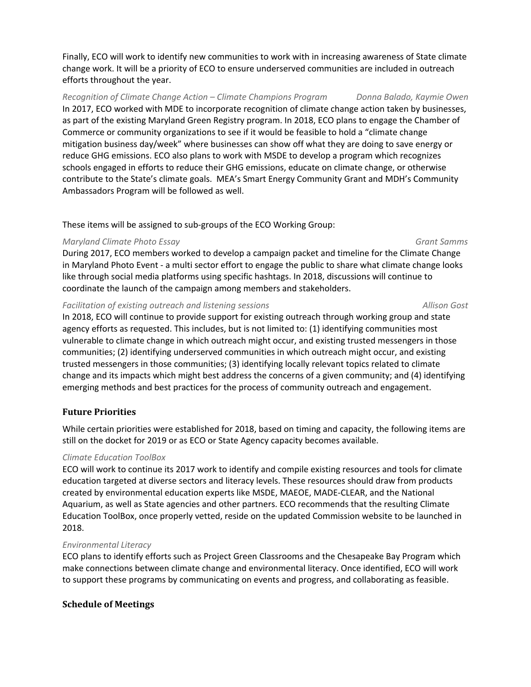Finally, ECO will work to identify new communities to work with in increasing awareness of State climate change work. It will be a priority of ECO to ensure underserved communities are included in outreach efforts throughout the year.

*Recognition of Climate Change Action – Climate Champions Program Donna Balado, Kaymie Owen* In 2017, ECO worked with MDE to incorporate recognition of climate change action taken by businesses, as part of the existing Maryland Green Registry program. In 2018, ECO plans to engage the Chamber of Commerce or community organizations to see if it would be feasible to hold a "climate change mitigation business day/week" where businesses can show off what they are doing to save energy or reduce GHG emissions. ECO also plans to work with MSDE to develop a program which recognizes schools engaged in efforts to reduce their GHG emissions, educate on climate change, or otherwise contribute to the State's climate goals. MEA's Smart Energy Community Grant and MDH's Community Ambassadors Program will be followed as well.

#### These items will be assigned to sub-groups of the ECO Working Group:

#### *Maryland Climate Photo Essay Grant Samms*

During 2017, ECO members worked to develop a campaign packet and timeline for the Climate Change in Maryland Photo Event - a multi sector effort to engage the public to share what climate change looks like through social media platforms using specific hashtags. In 2018, discussions will continue to coordinate the launch of the campaign among members and stakeholders.

#### *Facilitation of existing outreach and listening sessions Allison Gost*

In 2018, ECO will continue to provide support for existing outreach through working group and state agency efforts as requested. This includes, but is not limited to: (1) identifying communities most vulnerable to climate change in which outreach might occur, and existing trusted messengers in those communities; (2) identifying underserved communities in which outreach might occur, and existing trusted messengers in those communities; (3) identifying locally relevant topics related to climate change and its impacts which might best address the concerns of a given community; and (4) identifying emerging methods and best practices for the process of community outreach and engagement.

### **Future Priorities**

While certain priorities were established for 2018, based on timing and capacity, the following items are still on the docket for 2019 or as ECO or State Agency capacity becomes available.

#### *Climate Education ToolBox*

ECO will work to continue its 2017 work to identify and compile existing resources and tools for climate education targeted at diverse sectors and literacy levels. These resources should draw from products created by environmental education experts like MSDE, MAEOE, MADE-CLEAR, and the National Aquarium, as well as State agencies and other partners. ECO recommends that the resulting Climate Education ToolBox, once properly vetted, reside on the updated Commission website to be launched in 2018.

#### *Environmental Literacy*

ECO plans to identify efforts such as Project Green Classrooms and the Chesapeake Bay Program which make connections between climate change and environmental literacy. Once identified, ECO will work to support these programs by communicating on events and progress, and collaborating as feasible.

#### **Schedule of Meetings**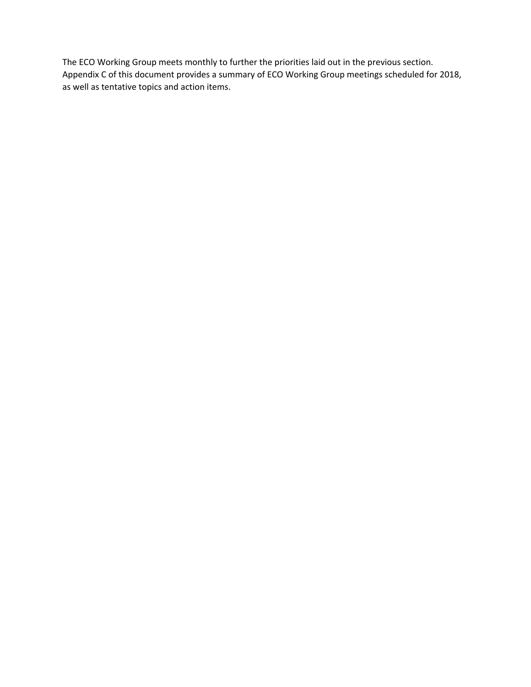The ECO Working Group meets monthly to further the priorities laid out in the previous section. Appendix C of this document provides a summary of ECO Working Group meetings scheduled for 2018, as well as tentative topics and action items.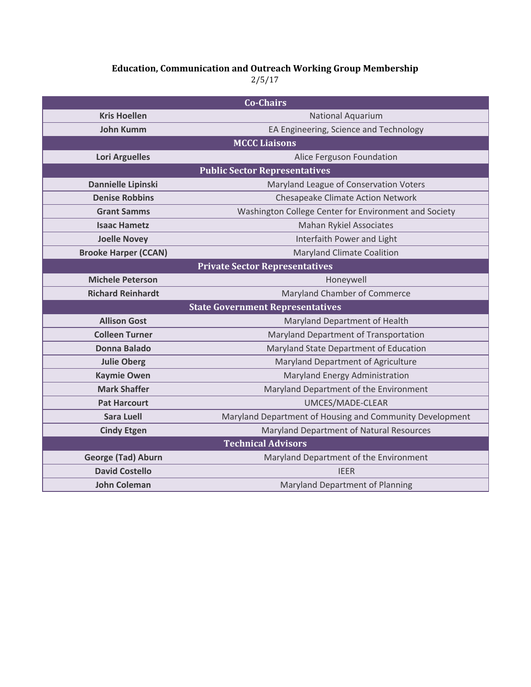#### **Education, Communication and Outreach Working Group Membership**

2/5/17

| <b>Co-Chairs</b>                        |                                                          |  |
|-----------------------------------------|----------------------------------------------------------|--|
| <b>Kris Hoellen</b>                     | <b>National Aquarium</b>                                 |  |
| <b>John Kumm</b>                        | EA Engineering, Science and Technology                   |  |
| <b>MCCC Liaisons</b>                    |                                                          |  |
| <b>Lori Arguelles</b>                   | Alice Ferguson Foundation                                |  |
| <b>Public Sector Representatives</b>    |                                                          |  |
| Dannielle Lipinski                      | Maryland League of Conservation Voters                   |  |
| <b>Denise Robbins</b>                   | <b>Chesapeake Climate Action Network</b>                 |  |
| <b>Grant Samms</b>                      | Washington College Center for Environment and Society    |  |
| <b>Isaac Hametz</b>                     | Mahan Rykiel Associates                                  |  |
| <b>Joelle Novey</b>                     | Interfaith Power and Light                               |  |
| <b>Brooke Harper (CCAN)</b>             | <b>Maryland Climate Coalition</b>                        |  |
| <b>Private Sector Representatives</b>   |                                                          |  |
| <b>Michele Peterson</b>                 | Honeywell                                                |  |
| <b>Richard Reinhardt</b>                | Maryland Chamber of Commerce                             |  |
| <b>State Government Representatives</b> |                                                          |  |
| <b>Allison Gost</b>                     | Maryland Department of Health                            |  |
| <b>Colleen Turner</b>                   | Maryland Department of Transportation                    |  |
| <b>Donna Balado</b>                     | Maryland State Department of Education                   |  |
| <b>Julie Oberg</b>                      | Maryland Department of Agriculture                       |  |
| <b>Kaymie Owen</b>                      | Maryland Energy Administration                           |  |
| <b>Mark Shaffer</b>                     | Maryland Department of the Environment                   |  |
| <b>Pat Harcourt</b>                     | UMCES/MADE-CLEAR                                         |  |
| <b>Sara Luell</b>                       | Maryland Department of Housing and Community Development |  |
| <b>Cindy Etgen</b>                      | Maryland Department of Natural Resources                 |  |
| <b>Technical Advisors</b>               |                                                          |  |
| <b>George (Tad) Aburn</b>               | Maryland Department of the Environment                   |  |
| <b>David Costello</b>                   | <b>IEER</b>                                              |  |
| <b>John Coleman</b>                     | Maryland Department of Planning                          |  |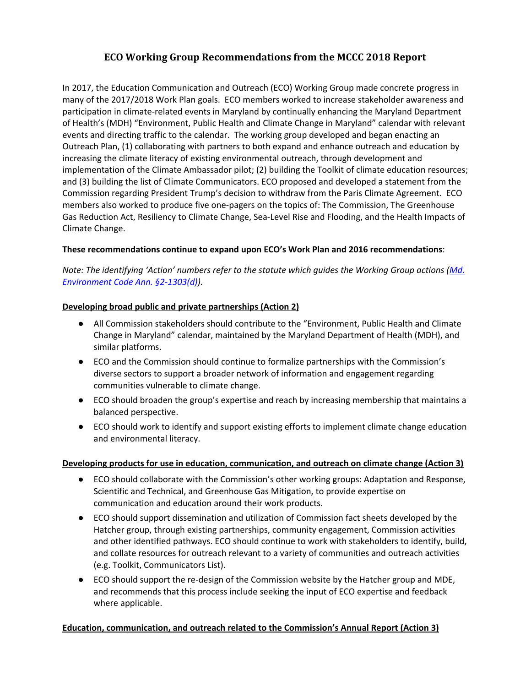### **ECO Working Group Recommendations from the MCCC 2018 Report**

In 2017, the Education Communication and Outreach (ECO) Working Group made concrete progress in many of the 2017/2018 Work Plan goals. ECO members worked to increase stakeholder awareness and participation in climate-related events in Maryland by continually enhancing the Maryland Department of Health's (MDH) "Environment, Public Health and Climate Change in Maryland" calendar with relevant events and directing traffic to the calendar. The working group developed and began enacting an Outreach Plan, (1) collaborating with partners to both expand and enhance outreach and education by increasing the climate literacy of existing environmental outreach, through development and implementation of the Climate Ambassador pilot; (2) building the Toolkit of climate education resources; and (3) building the list of Climate Communicators. ECO proposed and developed a statement from the Commission regarding President Trump's decision to withdraw from the Paris Climate Agreement. ECO members also worked to produce five one-pagers on the topics of: The Commission, The Greenhouse Gas Reduction Act, Resiliency to Climate Change, Sea-Level Rise and Flooding, and the Health Impacts of Climate Change.

#### **These recommendations continue to expand upon ECO's Work Plan and 2016 recommendations**:

*Note: The identifying 'Action' numbers refer to the statute which guides the Working Group actions [\(Md.](http://mgaleg.maryland.gov/webmga/frmStatutesText.aspx?article=gen§ion=2-1303&ext=html&session=2018RS&tab=subject5) [Environment](http://mgaleg.maryland.gov/webmga/frmStatutesText.aspx?article=gen§ion=2-1303&ext=html&session=2018RS&tab=subject5) Code Ann. §2-1303(d)).*

#### **Developing broad public and private partnerships (Action 2)**

- All Commission stakeholders should contribute to the "Environment, Public Health and Climate Change in Maryland" calendar, maintained by the Maryland Department of Health (MDH), and similar platforms.
- ECO and the Commission should continue to formalize partnerships with the Commission's diverse sectors to support a broader network of information and engagement regarding communities vulnerable to climate change.
- ECO should broaden the group's expertise and reach by increasing membership that maintains a balanced perspective.
- ECO should work to identify and support existing efforts to implement climate change education and environmental literacy.

#### **Developing products for use in education, communication, and outreach on climate change (Action 3)**

- ECO should collaborate with the Commission's other working groups: Adaptation and Response, Scientific and Technical, and Greenhouse Gas Mitigation, to provide expertise on communication and education around their work products.
- ECO should support dissemination and utilization of Commission fact sheets developed by the Hatcher group, through existing partnerships, community engagement, Commission activities and other identified pathways. ECO should continue to work with stakeholders to identify, build, and collate resources for outreach relevant to a variety of communities and outreach activities (e.g. Toolkit, Communicators List).
- ECO should support the re-design of the Commission website by the Hatcher group and MDE, and recommends that this process include seeking the input of ECO expertise and feedback where applicable.

### **Education, communication, and outreach related to the Commission's Annual Report (Action 3)**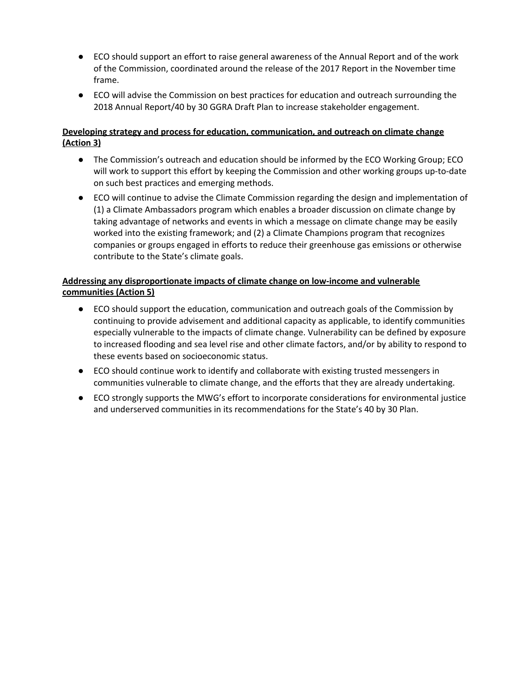- ECO should support an effort to raise general awareness of the Annual Report and of the work of the Commission, coordinated around the release of the 2017 Report in the November time frame.
- ECO will advise the Commission on best practices for education and outreach surrounding the 2018 Annual Report/40 by 30 GGRA Draft Plan to increase stakeholder engagement.

#### **Developing strategy and process for education, communication, and outreach on climate change (Action 3)**

- The Commission's outreach and education should be informed by the ECO Working Group; ECO will work to support this effort by keeping the Commission and other working groups up-to-date on such best practices and emerging methods.
- ECO will continue to advise the Climate Commission regarding the design and implementation of (1) a Climate Ambassadors program which enables a broader discussion on climate change by taking advantage of networks and events in which a message on climate change may be easily worked into the existing framework; and (2) a Climate Champions program that recognizes companies or groups engaged in efforts to reduce their greenhouse gas emissions or otherwise contribute to the State's climate goals.

### **Addressing any disproportionate impacts of climate change on low-income and vulnerable communities (Action 5)**

- ECO should support the education, communication and outreach goals of the Commission by continuing to provide advisement and additional capacity as applicable, to identify communities especially vulnerable to the impacts of climate change. Vulnerability can be defined by exposure to increased flooding and sea level rise and other climate factors, and/or by ability to respond to these events based on socioeconomic status.
- ECO should continue work to identify and collaborate with existing trusted messengers in communities vulnerable to climate change, and the efforts that they are already undertaking.
- ECO strongly supports the MWG's effort to incorporate considerations for environmental justice and underserved communities in its recommendations for the State's 40 by 30 Plan.